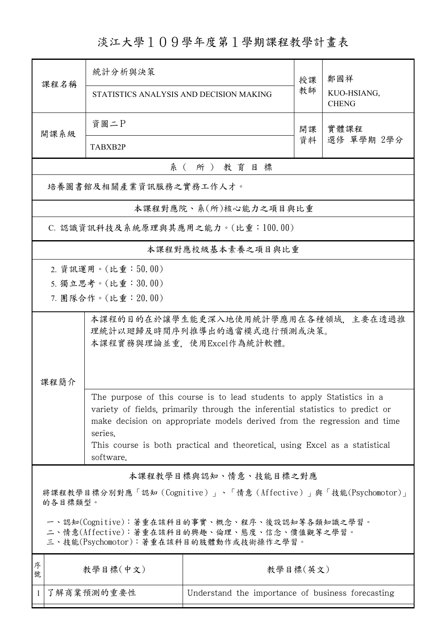淡江大學109學年度第1學期課程教學計畫表

| 課程名稱                                                                                                                                   | 統計分析與決策                                                                                                                                                                                                                              |                                                   | 授課<br>教師 | 鄭國祥<br>KUO-HSIANG, |  |  |  |  |  |
|----------------------------------------------------------------------------------------------------------------------------------------|--------------------------------------------------------------------------------------------------------------------------------------------------------------------------------------------------------------------------------------|---------------------------------------------------|----------|--------------------|--|--|--|--|--|
|                                                                                                                                        | STATISTICS ANALYSIS AND DECISION MAKING                                                                                                                                                                                              |                                                   |          | <b>CHENG</b>       |  |  |  |  |  |
| 開課系級                                                                                                                                   | 資圖二P<br>開課                                                                                                                                                                                                                           |                                                   |          | 實體課程               |  |  |  |  |  |
|                                                                                                                                        | TABXB2P                                                                                                                                                                                                                              |                                                   | 資料       | 選修 單學期 2學分         |  |  |  |  |  |
|                                                                                                                                        | 系(所)教育目標                                                                                                                                                                                                                             |                                                   |          |                    |  |  |  |  |  |
| 培養圖書館及相關產業資訊服務之實務工作人才。                                                                                                                 |                                                                                                                                                                                                                                      |                                                   |          |                    |  |  |  |  |  |
|                                                                                                                                        | 本課程對應院、系(所)核心能力之項目與比重                                                                                                                                                                                                                |                                                   |          |                    |  |  |  |  |  |
| C. 認識資訊科技及系統原理與其應用之能力。(比重:100.00)                                                                                                      |                                                                                                                                                                                                                                      |                                                   |          |                    |  |  |  |  |  |
| 本課程對應校級基本素養之項目與比重                                                                                                                      |                                                                                                                                                                                                                                      |                                                   |          |                    |  |  |  |  |  |
|                                                                                                                                        | 2. 資訊運用。(比重:50.00)                                                                                                                                                                                                                   |                                                   |          |                    |  |  |  |  |  |
|                                                                                                                                        | 5. 獨立思考。(比重:30.00)                                                                                                                                                                                                                   |                                                   |          |                    |  |  |  |  |  |
|                                                                                                                                        | 7. 團隊合作。(比重:20.00)                                                                                                                                                                                                                   |                                                   |          |                    |  |  |  |  |  |
| 本課程的目的在於讓學生能更深入地使用統計學應用在各種領域,主要在透過推<br>理統計以廻歸及時間序列推導出的適當模式進行預測或決策。<br>本課程實務與理論並重,使用Excel作為統計軟體。                                        |                                                                                                                                                                                                                                      |                                                   |          |                    |  |  |  |  |  |
| 課程簡介                                                                                                                                   | The purpose of this course is to lead students to apply Statistics in a<br>variety of fields, primarily through the inferential statistics to predict or<br>make decision on appropriate models derived from the regression and time |                                                   |          |                    |  |  |  |  |  |
|                                                                                                                                        | series.<br>This course is both practical and theoretical, using Excel as a statistical<br>software.                                                                                                                                  |                                                   |          |                    |  |  |  |  |  |
|                                                                                                                                        |                                                                                                                                                                                                                                      | 本課程教學目標與認知、情意、技能目標之對應                             |          |                    |  |  |  |  |  |
| 將課程教學目標分別對應「認知(Cognitive)」、「情意(Affective)」與「技能(Psychomotor)」<br>的各目標類型。                                                                |                                                                                                                                                                                                                                      |                                                   |          |                    |  |  |  |  |  |
| 一、認知(Cognitive):著重在該科目的事實、概念、程序、後設認知等各類知識之學習。<br>二、情意(Affective):著重在該科目的興趣、倫理、態度、信念、價值觀等之學習。<br>三、技能(Psychomotor):著重在該科目的肢體動作或技術操作之學習。 |                                                                                                                                                                                                                                      |                                                   |          |                    |  |  |  |  |  |
| 序<br>號                                                                                                                                 | 教學目標(中文)                                                                                                                                                                                                                             | 教學目標(英文)                                          |          |                    |  |  |  |  |  |
| $\mathbf{1}$                                                                                                                           | 了解商業預測的重要性                                                                                                                                                                                                                           | Understand the importance of business forecasting |          |                    |  |  |  |  |  |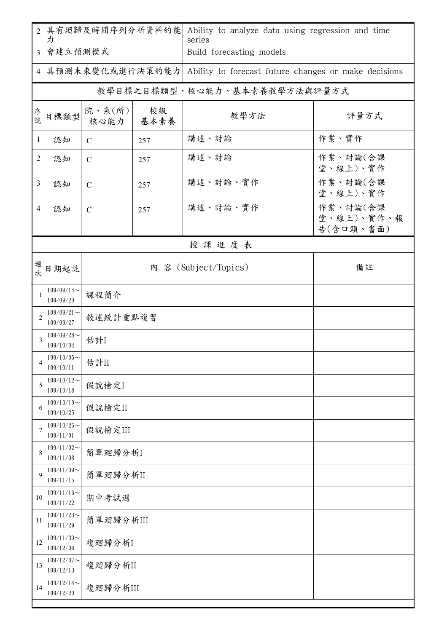| $\overline{2}$ | 具有廻歸及時間序列分析資料的能<br>力       |                        |            | Ability to analyze data using regression and time<br>series |                                     |  |  |  |  |
|----------------|----------------------------|------------------------|------------|-------------------------------------------------------------|-------------------------------------|--|--|--|--|
| 3 <sup>1</sup> | 會建立預測模式                    |                        |            | Build forecasting models                                    |                                     |  |  |  |  |
| 4              | 具預測未來變化或進行決策的能力            |                        |            | Ability to forecast future changes or make decisions        |                                     |  |  |  |  |
|                |                            |                        |            | 教學目標之目標類型、核心能力、基本素養教學方法與評量方式                                |                                     |  |  |  |  |
| 序號             | 目標類型                       | 院、系 $(\kappa)$<br>核心能力 | 校級<br>基本素養 | 教學方法                                                        | 評量方式                                |  |  |  |  |
| $\mathbf{1}$   | 認知                         | $\mathcal{C}$          | 257        | 講述、討論                                                       | 作業、實作                               |  |  |  |  |
| 2              | 認知                         | $\mathcal{C}$          | 257        | 講述、討論                                                       | 作業、討論(含課<br>堂、線上)、實作                |  |  |  |  |
| 3              | 認知                         | $\mathcal{C}$          | 257        | 講述、討論、實作                                                    | 作業、討論(含課<br>堂、線上)、實作                |  |  |  |  |
| $\overline{4}$ | 認知                         | $\mathcal{C}$          | 257        | 講述、討論、實作                                                    | 作業、討論(含課<br>堂、線上)、實作、報<br>告(含口頭、書面) |  |  |  |  |
|                | 授課進度表                      |                        |            |                                                             |                                     |  |  |  |  |
| 週<br>欤         | 日期起訖                       |                        |            | 內 容 (Subject/Topics)                                        | 備註                                  |  |  |  |  |
| $\mathbf{1}$   | $109/09/14$ ~<br>109/09/20 | 課程簡介                   |            |                                                             |                                     |  |  |  |  |
| $\overline{2}$ | $109/09/21$ ~<br>109/09/27 | 敘述統計重點複習               |            |                                                             |                                     |  |  |  |  |
| 3              | $109/09/28$ ~<br>109/10/04 | 估計I                    |            |                                                             |                                     |  |  |  |  |
| 4              | $109/10/05$ ~<br>109/10/11 | 估計II                   |            |                                                             |                                     |  |  |  |  |
| 5              | $109/10/12$ ~<br>109/10/18 | 假說檢定I                  |            |                                                             |                                     |  |  |  |  |
| 6              | $109/10/19$ ~<br>109/10/25 | 假說檢定II                 |            |                                                             |                                     |  |  |  |  |
| 7              | $109/10/26$ ~<br>109/11/01 | 假說檢定III                |            |                                                             |                                     |  |  |  |  |
| 8              | $109/11/02$ ~<br>109/11/08 | 簡單廻歸分析I                |            |                                                             |                                     |  |  |  |  |
| 9              | $109/11/09$ ~<br>109/11/15 | 簡單廻歸分析II               |            |                                                             |                                     |  |  |  |  |
| 10             | $109/11/16$ ~<br>109/11/22 | 期中考試週                  |            |                                                             |                                     |  |  |  |  |
| 11             | $109/11/23$ ~<br>109/11/29 |                        | 簡單廻歸分析III  |                                                             |                                     |  |  |  |  |
| 12             | $109/11/30$ ~<br>109/12/06 | 複廻歸分析I                 |            |                                                             |                                     |  |  |  |  |
| 13             | $109/12/07$ ~<br>109/12/13 | 複廻歸分析II                |            |                                                             |                                     |  |  |  |  |
| 14             | $109/12/14$ ~<br>109/12/20 | 複廻歸分析III               |            |                                                             |                                     |  |  |  |  |